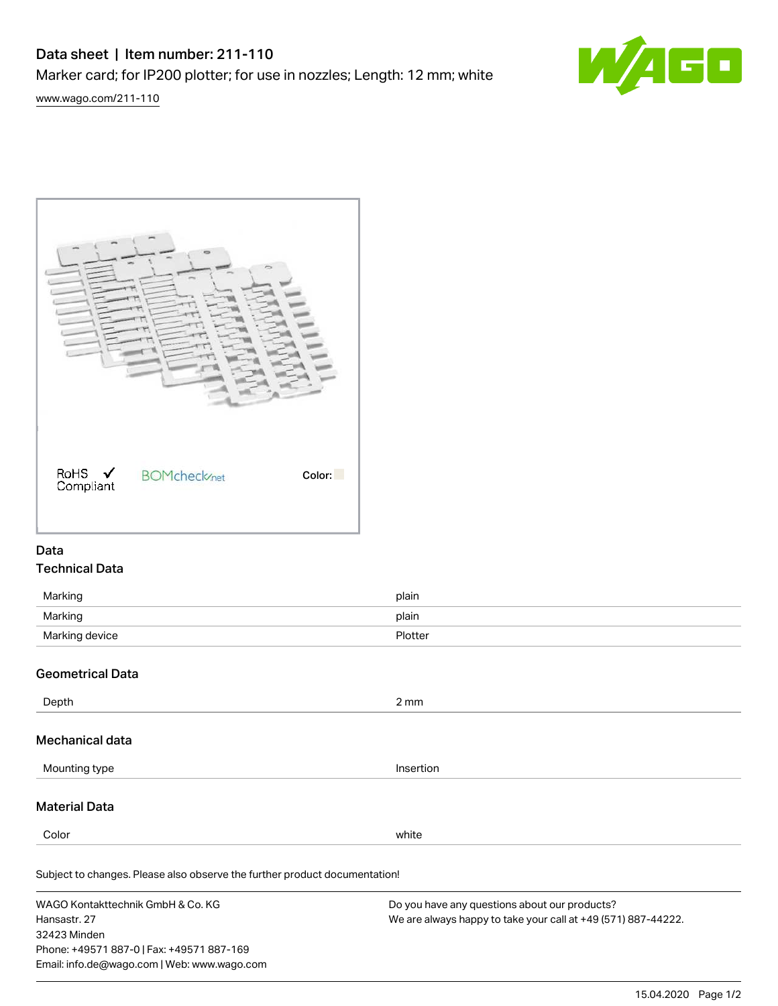# Data sheet | Item number: 211-110

Marker card; for IP200 plotter; for use in nozzles; Length: 12 mm; white







## Data Technical Data

| Marking        | plain   |
|----------------|---------|
| Marking        | plain   |
| Marking device | Plotter |

## Geometrical Data

32423 Minden

Phone: +49571 887-0 | Fax: +49571 887-169 Email: info.de@wago.com | Web: www.wago.com

| Depth                                                                      | $2 \, \text{mm}$                                                                                               |
|----------------------------------------------------------------------------|----------------------------------------------------------------------------------------------------------------|
| Mechanical data                                                            |                                                                                                                |
| Mounting type                                                              | Insertion                                                                                                      |
| <b>Material Data</b>                                                       |                                                                                                                |
| Color                                                                      | white                                                                                                          |
| Subject to changes. Please also observe the further product documentation! |                                                                                                                |
| WAGO Kontakttechnik GmbH & Co. KG<br>Hansastr, 27                          | Do you have any questions about our products?<br>We are always happy to take your call at +49 (571) 887-44222. |

15.04.2020 Page 1/2